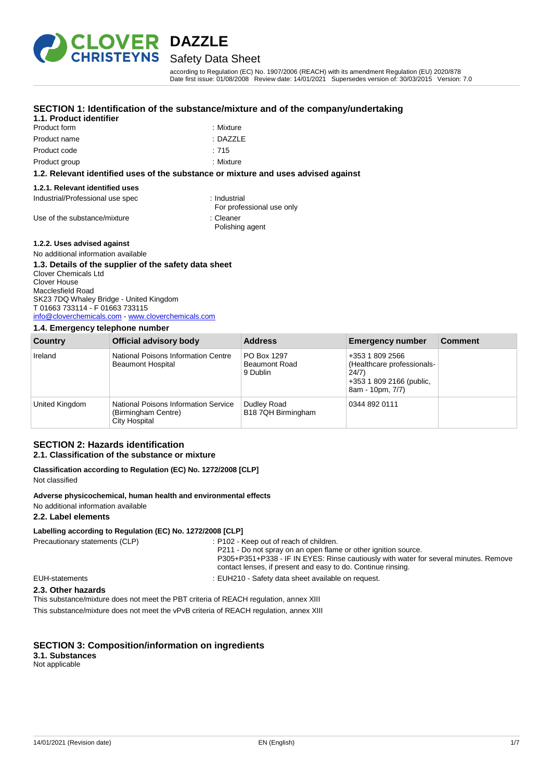

### Safety Data Sheet

according to Regulation (EC) No. 1907/2006 (REACH) with its amendment Regulation (EU) 2020/878 Date first issue: 01/08/2008 Review date: 14/01/2021 Supersedes version of: 30/03/2015 Version: 7.0

#### **SECTION 1: Identification of the substance/mixture and of the company/undertaking**

#### **1.1. Product identifier** Product form

Product name Product code

| : Mixture |
|-----------|
| : DAZZLE  |
| : 715     |

Product group **and the contract of the contract of the contract of the contract of the contract of the contract of the contract of the contract of the contract of the contract of the contract of the contract of the contrac** 

#### **1.2. Relevant identified uses of the substance or mixture and uses advised against**

#### **1.2.1. Relevant identified uses**

Industrial/Professional use spec : Industrial

For professional use only

Use of the substance/mixture in the substance of the substance in the set of the substance of the substance in the substance of the substance of the substance of the substance of the substance of the substance of the subst Polishing agent

#### **1.2.2. Uses advised against**

#### No additional information available **1.3. Details of the supplier of the safety data sheet** Clover Chemicals Ltd Clover House Macclesfield Road SK23 7DQ Whaley Bridge - United Kingdom T 01663 733114 - F 01663 733115 [info@cloverchemicals.com](mailto:info@cloverchemicals.com) - <www.cloverchemicals.com>

#### **1.4. Emergency telephone number**

| Country        | Official advisory body                                                       | <b>Address</b>                                  | <b>Emergency number</b>                                                                                | <b>Comment</b> |
|----------------|------------------------------------------------------------------------------|-------------------------------------------------|--------------------------------------------------------------------------------------------------------|----------------|
| Ireland        | National Poisons Information Centre<br><b>Beaumont Hospital</b>              | PO Box 1297<br><b>Beaumont Road</b><br>9 Dublin | +353 1 809 2566<br>(Healthcare professionals-<br>24/7)<br>+353 1 809 2166 (public,<br>8am - 10pm, 7/7) |                |
| United Kingdom | National Poisons Information Service<br>(Birmingham Centre)<br>City Hospital | Dudley Road<br>B18 7QH Birmingham               | 0344 892 0111                                                                                          |                |

#### **SECTION 2: Hazards identification 2.1. Classification of the substance or mixture**

|  |  | Classification according to Regulation (EC) No. 1272/2008 [CLP] |  |  |
|--|--|-----------------------------------------------------------------|--|--|
|  |  |                                                                 |  |  |

Not classified

#### **Adverse physicochemical, human health and environmental effects**

No additional information available

**2.2. Label elements**

#### **Labelling according to Regulation (EC) No. 1272/2008 [CLP]**

Precautionary statements (CLP) : P102 - Keep out of reach of children. P211 - Do not spray on an open flame or other ignition source. P305+P351+P338 - IF IN EYES: Rinse cautiously with water for several minutes. Remove contact lenses, if present and easy to do. Continue rinsing. EUH-statements : EUH210 - Safety data sheet available on request.

#### **2.3. Other hazards**

This substance/mixture does not meet the PBT criteria of REACH regulation, annex XIII

This substance/mixture does not meet the vPvB criteria of REACH regulation, annex XIII

#### **SECTION 3: Composition/information on ingredients**

### **3.1. Substances**

Not applicable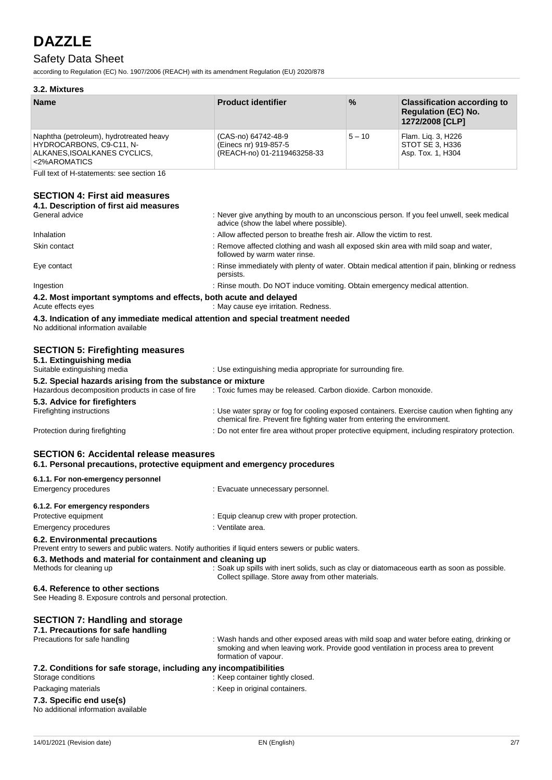## Safety Data Sheet

according to Regulation (EC) No. 1907/2006 (REACH) with its amendment Regulation (EU) 2020/878

Emergency procedures **in the case of the Contract Execute** : Evacuate unnecessary personnel.

### **3.2. Mixtures**

| <b>Name</b>                                                                                                         | <b>Product identifier</b>                                                   | $\frac{9}{6}$ | <b>Classification according to</b><br><b>Regulation (EC) No.</b><br>1272/2008 [CLP] |
|---------------------------------------------------------------------------------------------------------------------|-----------------------------------------------------------------------------|---------------|-------------------------------------------------------------------------------------|
| Naphtha (petroleum), hydrotreated heavy<br>HYDROCARBONS, C9-C11, N-<br>ALKANES, ISOALKANES CYCLICS,<br><2%AROMATICS | (CAS-no) 64742-48-9<br>(Einecs nr) 919-857-5<br>(REACH-no) 01-2119463258-33 | $5 - 10$      | Flam. Lig. 3, H226<br>STOT SE 3. H336<br>Asp. Tox. 1, H304                          |

Full text of H-statements: see section 16

### **SECTION 4: First aid measures**

| 4.1. Description of first aid measures                                                                                    |                                                                                                                                                                          |
|---------------------------------------------------------------------------------------------------------------------------|--------------------------------------------------------------------------------------------------------------------------------------------------------------------------|
| General advice                                                                                                            | : Never give anything by mouth to an unconscious person. If you feel unwell, seek medical<br>advice (show the label where possible).                                     |
| Inhalation                                                                                                                | : Allow affected person to breathe fresh air. Allow the victim to rest.                                                                                                  |
| Skin contact                                                                                                              | : Remove affected clothing and wash all exposed skin area with mild soap and water,<br>followed by warm water rinse.                                                     |
| Eye contact                                                                                                               | : Rinse immediately with plenty of water. Obtain medical attention if pain, blinking or redness<br>persists.                                                             |
| Ingestion                                                                                                                 | : Rinse mouth. Do NOT induce vomiting. Obtain emergency medical attention.                                                                                               |
| 4.2. Most important symptoms and effects, both acute and delayed<br>Acute effects eyes                                    | : May cause eye irritation. Redness.                                                                                                                                     |
| 4.3. Indication of any immediate medical attention and special treatment needed<br>No additional information available    |                                                                                                                                                                          |
| <b>SECTION 5: Firefighting measures</b><br>5.1. Extinguishing media                                                       |                                                                                                                                                                          |
| Suitable extinguishing media                                                                                              | : Use extinguishing media appropriate for surrounding fire.                                                                                                              |
| 5.2. Special hazards arising from the substance or mixture<br>Hazardous decomposition products in case of fire            | : Toxic fumes may be released. Carbon dioxide. Carbon monoxide.                                                                                                          |
| 5.3. Advice for firefighters                                                                                              |                                                                                                                                                                          |
| Firefighting instructions                                                                                                 | : Use water spray or fog for cooling exposed containers. Exercise caution when fighting any<br>chemical fire. Prevent fire fighting water from entering the environment. |
| Protection during firefighting                                                                                            | : Do not enter fire area without proper protective equipment, including respiratory protection.                                                                          |
| <b>SECTION 6: Accidental release measures</b><br>6.1. Personal precautions, protective equipment and emergency procedures |                                                                                                                                                                          |
| 6.1.1. For non-emergency personnel                                                                                        |                                                                                                                                                                          |

| 6.1.2. For emergency responders                                                                                                           |                                                                                                                                                                                                        |
|-------------------------------------------------------------------------------------------------------------------------------------------|--------------------------------------------------------------------------------------------------------------------------------------------------------------------------------------------------------|
| Protective equipment                                                                                                                      | : Equip cleanup crew with proper protection.                                                                                                                                                           |
| Emergency procedures                                                                                                                      | : Ventilate area.                                                                                                                                                                                      |
| 6.2. Environmental precautions<br>Prevent entry to sewers and public waters. Notify authorities if liquid enters sewers or public waters. |                                                                                                                                                                                                        |
| 6.3. Methods and material for containment and cleaning up<br>Methods for cleaning up                                                      | : Soak up spills with inert solids, such as clay or diatomaceous earth as soon as possible.<br>Collect spillage. Store away from other materials.                                                      |
| 6.4. Reference to other sections<br>See Heading 8. Exposure controls and personal protection.                                             |                                                                                                                                                                                                        |
| <b>SECTION 7: Handling and storage</b><br>7.1. Precautions for safe handling                                                              |                                                                                                                                                                                                        |
| Precautions for safe handling                                                                                                             | : Wash hands and other exposed areas with mild soap and water before eating, drinking or<br>smoking and when leaving work. Provide good ventilation in process area to prevent<br>formation of vapour. |
| 7.2. Conditions for safe storage, including any incompatibilities<br>Storage conditions                                                   | : Keep container tightly closed.                                                                                                                                                                       |
| Packaging materials                                                                                                                       | : Keep in original containers.                                                                                                                                                                         |
| 7.3. Specific end use(s)<br>A begin a statistic concentration and concentration of the batter                                             |                                                                                                                                                                                                        |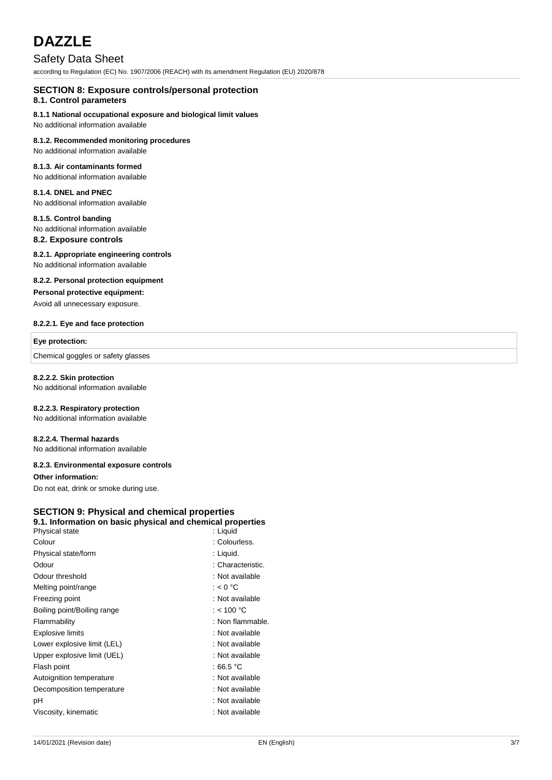### Safety Data Sheet

according to Regulation (EC) No. 1907/2006 (REACH) with its amendment Regulation (EU) 2020/878

### **SECTION 8: Exposure controls/personal protection**

#### **8.1. Control parameters**

#### **8.1.1 National occupational exposure and biological limit values**

No additional information available

#### **8.1.2. Recommended monitoring procedures**

No additional information available

#### **8.1.3. Air contaminants formed**

No additional information available

### **8.1.4. DNEL and PNEC**

No additional information available

#### **8.1.5. Control banding**

No additional information available

### **8.2. Exposure controls**

#### **8.2.1. Appropriate engineering controls**

No additional information available

#### **8.2.2. Personal protection equipment**

#### **Personal protective equipment:**

Avoid all unnecessary exposure.

#### **8.2.2.1. Eye and face protection**

#### **Eye protection:**

Chemical goggles or safety glasses

#### **8.2.2.2. Skin protection**

No additional information available

#### **8.2.2.3. Respiratory protection**

No additional information available

#### **8.2.2.4. Thermal hazards**

No additional information available

#### **8.2.3. Environmental exposure controls**

#### **Other information:**

Do not eat, drink or smoke during use.

#### **SECTION 9: Physical and chemical properties 9.1. Information on basic physical and chemical properties** Physical state

| i iiyoival olalu            | . Liyuiu            |
|-----------------------------|---------------------|
| Colour                      | : Colourless.       |
| Physical state/form         | : Liquid.           |
| Odour                       | : Characteristic.   |
| Odour threshold             | : Not available     |
| Melting point/range         | : $< 0 °C$          |
| Freezing point              | : Not available     |
| Boiling point/Boiling range | : < 100 °C          |
| Flammability                | : Non flammable.    |
| <b>Explosive limits</b>     | : Not available     |
| Lower explosive limit (LEL) | : Not available     |
| Upper explosive limit (UEL) | : Not available     |
| Flash point                 | : 66.5 $^{\circ}$ C |
| Autoignition temperature    | : Not available     |
| Decomposition temperature   | : Not available     |
| рH                          | : Not available     |
| Viscosity, kinematic        | : Not available     |
|                             |                     |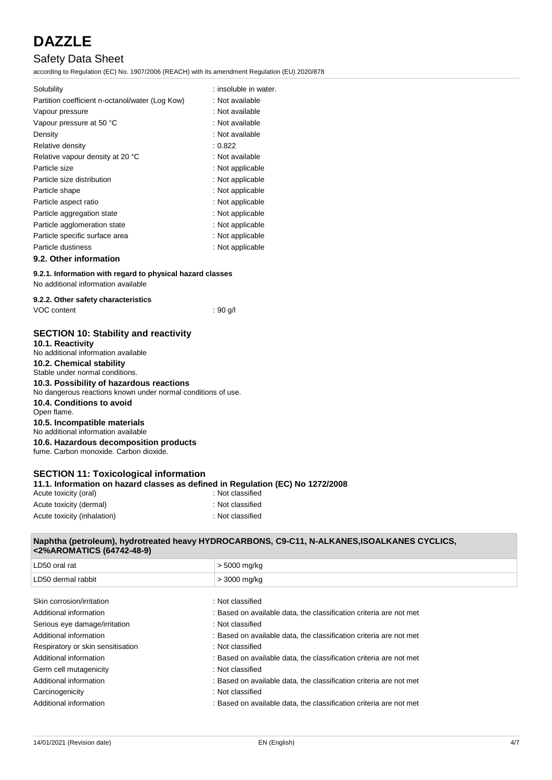### Safety Data Sheet

according to Regulation (EC) No. 1907/2006 (REACH) with its amendment Regulation (EU) 2020/878

| Solubility                                      | : insoluble in water. |
|-------------------------------------------------|-----------------------|
| Partition coefficient n-octanol/water (Log Kow) | : Not available       |
| Vapour pressure                                 | : Not available       |
| Vapour pressure at 50 °C                        | : Not available       |
| Density                                         | : Not available       |
| Relative density                                | : 0.822               |
| Relative vapour density at 20 °C                | : Not available       |
| Particle size                                   | : Not applicable      |
| Particle size distribution                      | : Not applicable      |
| Particle shape                                  | : Not applicable      |
| Particle aspect ratio                           | : Not applicable      |
| Particle aggregation state                      | : Not applicable      |
| Particle agglomeration state                    | : Not applicable      |
| Particle specific surface area                  | : Not applicable      |
| Particle dustiness                              | : Not applicable      |
| 9.2. Other information                          |                       |

#### **9.2.1. Information with regard to physical hazard classes**

No additional information available

#### **9.2.2. Other safety characteristics**

|  | VOC content |
|--|-------------|
|--|-------------|

 $: 90$  g/l

#### **SECTION 10: Stability and reactivity 10.1. Reactivity**

No additional information available **10.2. Chemical stability** Stable under normal conditions.

#### **10.3. Possibility of hazardous reactions**

No dangerous reactions known under normal conditions of use.

**10.4. Conditions to avoid** Open flame. **10.5. Incompatible materials** No additional information available

**10.6. Hazardous decomposition products** fume. Carbon monoxide. Carbon dioxide.

#### **SECTION 11: Toxicological information 11.1. Information on hazard classes as defined in Regulation (EC) No 1272/2008**

| Acute toxicity (oral)       | : Not classified |
|-----------------------------|------------------|
| Acute toxicity (dermal)     | : Not classified |
| Acute toxicity (inhalation) | : Not classified |

#### **Naphtha (petroleum), hydrotreated heavy HYDROCARBONS, C9-C11, N-ALKANES,ISOALKANES CYCLICS, <2%AROMATICS (64742-48-9)**

| LD50 oral rat                     | > 5000 mg/kg                                                       |
|-----------------------------------|--------------------------------------------------------------------|
| LD50 dermal rabbit                | > 3000 mg/kg                                                       |
|                                   |                                                                    |
| Skin corrosion/irritation         | : Not classified                                                   |
| Additional information            | : Based on available data, the classification criteria are not met |
| Serious eye damage/irritation     | : Not classified                                                   |
| Additional information            | : Based on available data, the classification criteria are not met |
| Respiratory or skin sensitisation | : Not classified                                                   |
| Additional information            | : Based on available data, the classification criteria are not met |
| Germ cell mutagenicity            | : Not classified                                                   |
| Additional information            | : Based on available data, the classification criteria are not met |
| Carcinogenicity                   | : Not classified                                                   |
| Additional information            | : Based on available data, the classification criteria are not met |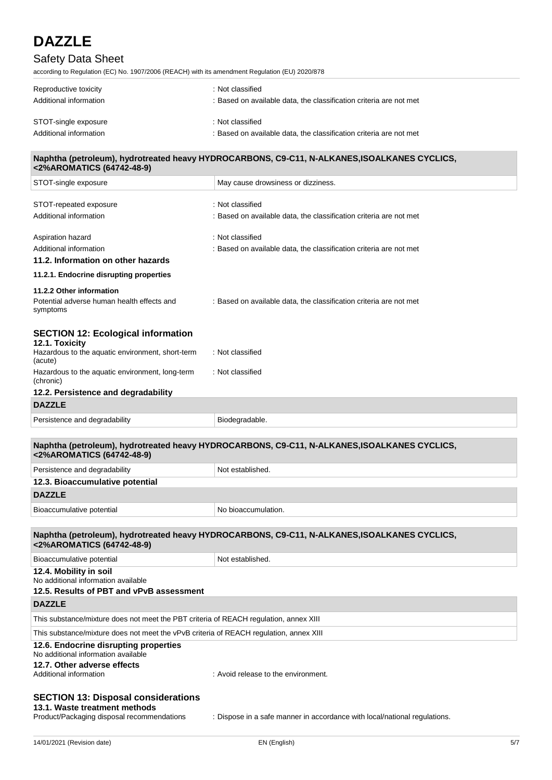### Safety Data Sheet

according to Regulation (EC) No. 1907/2006 (REACH) with its amendment Regulation (EU) 2020/878

| Reproductive toxicity<br>Additional information | : Not classified<br>: Based on available data, the classification criteria are not met |
|-------------------------------------------------|----------------------------------------------------------------------------------------|
| STOT-single exposure                            | : Not classified                                                                       |
| Additional information                          | : Based on available data, the classification criteria are not met                     |

#### **Naphtha (petroleum), hydrotreated heavy HYDROCARBONS, C9-C11, N-ALKANES,ISOALKANES CYCLICS, <2%AROMATICS (64742-48-9)**

| STOT-single exposure                                                                                                                  | May cause drowsiness or dizziness.                                                          |
|---------------------------------------------------------------------------------------------------------------------------------------|---------------------------------------------------------------------------------------------|
| STOT-repeated exposure                                                                                                                | : Not classified                                                                            |
| Additional information                                                                                                                | : Based on available data, the classification criteria are not met                          |
| Aspiration hazard                                                                                                                     | : Not classified                                                                            |
| Additional information                                                                                                                | : Based on available data, the classification criteria are not met                          |
| 11.2. Information on other hazards                                                                                                    |                                                                                             |
| 11.2.1. Endocrine disrupting properties                                                                                               |                                                                                             |
| 11.2.2 Other information                                                                                                              |                                                                                             |
| Potential adverse human health effects and<br>symptoms                                                                                | : Based on available data, the classification criteria are not met                          |
| <b>SECTION 12: Ecological information</b><br>12.1. Toxicity                                                                           |                                                                                             |
| Hazardous to the aquatic environment, short-term<br>(acute)                                                                           | : Not classified                                                                            |
| Hazardous to the aquatic environment, long-term<br>(chronic)                                                                          | : Not classified                                                                            |
| 12.2. Persistence and degradability                                                                                                   |                                                                                             |
| <b>DAZZLE</b>                                                                                                                         |                                                                                             |
| Persistence and degradability                                                                                                         | Biodegradable.                                                                              |
| <2%AROMATICS (64742-48-9)                                                                                                             | Naphtha (petroleum), hydrotreated heavy HYDROCARBONS, C9-C11, N-ALKANES,ISOALKANES CYCLICS, |
| Persistence and degradability                                                                                                         | Not established.                                                                            |
| 12.3. Bioaccumulative potential                                                                                                       |                                                                                             |
| <b>DAZZLE</b>                                                                                                                         |                                                                                             |
| Bioaccumulative potential                                                                                                             | No bioaccumulation.                                                                         |
|                                                                                                                                       |                                                                                             |
| <2%AROMATICS (64742-48-9)                                                                                                             | Naphtha (petroleum), hydrotreated heavy HYDROCARBONS, C9-C11, N-ALKANES,ISOALKANES CYCLICS, |
| Bioaccumulative potential                                                                                                             | Not established.                                                                            |
| 12.4. Mobility in soil<br>No additional information available<br>12.5. Results of PBT and vPvB assessment                             |                                                                                             |
| <b>DAZZLE</b>                                                                                                                         |                                                                                             |
| This substance/mixture does not meet the PBT criteria of REACH regulation, annex XIII                                                 |                                                                                             |
| This substance/mixture does not meet the vPvB criteria of REACH regulation, annex XIII                                                |                                                                                             |
| 12.6. Endocrine disrupting properties<br>No additional information available<br>12.7. Other adverse effects<br>Additional information | : Avoid release to the environment.                                                         |
| <b>SECTION 13: Disposal considerations</b><br>13.1. Waste treatment methods<br>Product/Packaging disposal recommendations             | : Dispose in a safe manner in accordance with local/national regulations.                   |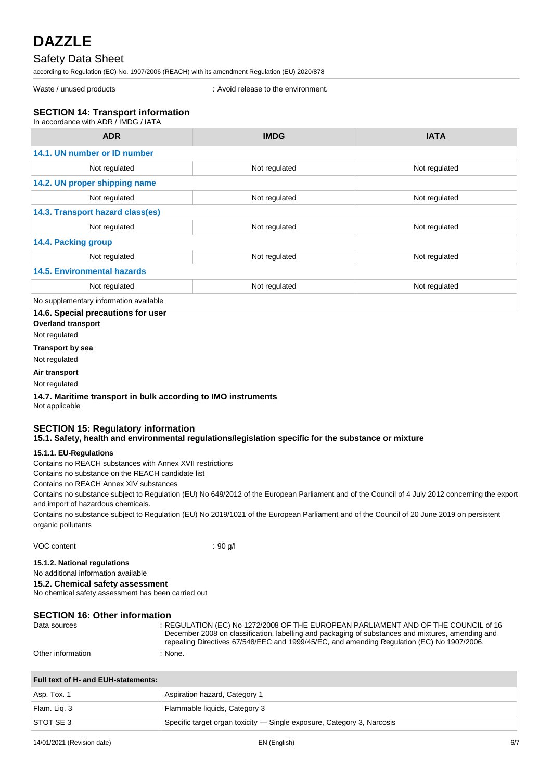### Safety Data Sheet

according to Regulation (EC) No. 1907/2006 (REACH) with its amendment Regulation (EU) 2020/878

Waste / unused products in the environment.

#### **SECTION 14: Transport information**  $I = \frac{1}{2}$

| III accoluatice Willi ADR / INDO / IATA       |               |               |
|-----------------------------------------------|---------------|---------------|
| <b>ADR</b>                                    | <b>IMDG</b>   | <b>IATA</b>   |
| 14.1. UN number or ID number                  |               |               |
| Not regulated                                 | Not regulated | Not regulated |
| 14.2. UN proper shipping name                 |               |               |
| Not regulated                                 | Not regulated | Not regulated |
| 14.3. Transport hazard class(es)              |               |               |
| Not regulated                                 | Not regulated | Not regulated |
| 14.4. Packing group                           |               |               |
| Not regulated                                 | Not regulated | Not regulated |
| <b>14.5. Environmental hazards</b>            |               |               |
| Not regulated                                 | Not regulated | Not regulated |
| Ala a complana antam cinfama atian accailabla |               |               |

No supplementary information available

#### **14.6. Special precautions for user**

**Overland transport**

Not regulated

#### **Transport by sea**

Not regulated

**Air transport**

### Not regulated

#### **14.7. Maritime transport in bulk according to IMO instruments**

Not applicable

### **SECTION 15: Regulatory information**

#### **15.1. Safety, health and environmental regulations/legislation specific for the substance or mixture**

#### **15.1.1. EU-Regulations**

Contains no REACH substances with Annex XVII restrictions

Contains no substance on the REACH candidate list

Contains no REACH Annex XIV substances

Contains no substance subject to Regulation (EU) No 649/2012 of the European Parliament and of the Council of 4 July 2012 concerning the export and import of hazardous chemicals.

Contains no substance subject to Regulation (EU) No 2019/1021 of the European Parliament and of the Council of 20 June 2019 on persistent organic pollutants

VOC content : 90 g/l

#### **15.1.2. National regulations**

No additional information available

#### **15.2. Chemical safety assessment**

No chemical safety assessment has been carried out

#### **SECTION 16: Other information**

| Data sources      | : REGULATION (EC) No 1272/2008 OF THE EUROPEAN PARLIAMENT AND OF THE COUNCIL of 16<br>December 2008 on classification, labelling and packaging of substances and mixtures, amending and<br>repealing Directives 67/548/EEC and 1999/45/EC, and amending Regulation (EC) No 1907/2006. |
|-------------------|---------------------------------------------------------------------------------------------------------------------------------------------------------------------------------------------------------------------------------------------------------------------------------------|
| Other information | None.                                                                                                                                                                                                                                                                                 |

### **Full text of H- and EUH-statements:**

| Asp. Tox. 1  | Aspiration hazard, Category 1                                          |
|--------------|------------------------------------------------------------------------|
| Flam. Liq. 3 | Flammable liquids, Category 3                                          |
| STOT SE 3    | Specific target organ toxicity — Single exposure, Category 3, Narcosis |
|              |                                                                        |